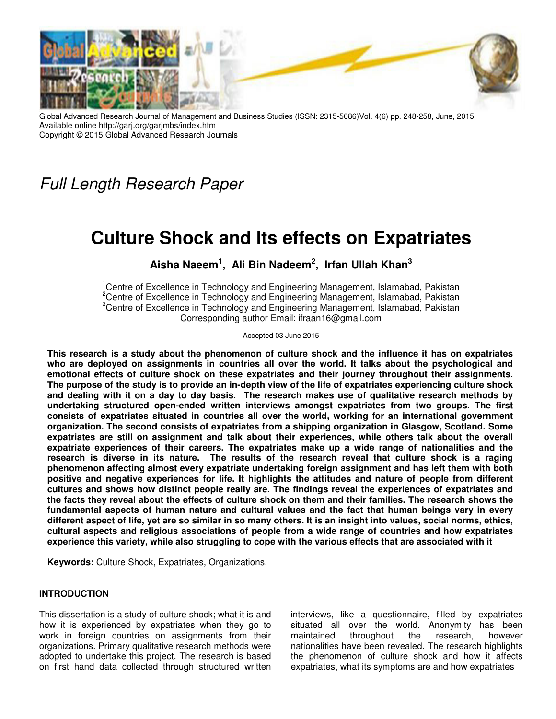

Global Advanced Research Journal of Management and Business Studies (ISSN: 2315-5086)Vol. 4(6) pp. 248-258, June, 2015 Available online http://garj.org/garjmbs/index.htm Copyright © 2015 Global Advanced Research Journals

Full Length Research Paper

# **Culture Shock and Its effects on Expatriates**

**Aisha Naeem<sup>1</sup> , Ali Bin Nadeem<sup>2</sup> , Irfan Ullah Khan<sup>3</sup>**

<sup>1</sup>Centre of Excellence in Technology and Engineering Management, Islamabad, Pakistan <sup>2</sup>Centre of Excellence in Technology and Engineering Management, Islamabad, Pakistan <sup>3</sup>Centre of Excellence in Technology and Engineering Management, Islamabad, Pakistan Corresponding author Email: ifraan16@gmail.com

Accepted 03 June 2015

**This research is a study about the phenomenon of culture shock and the influence it has on expatriates who are deployed on assignments in countries all over the world. It talks about the psychological and emotional effects of culture shock on these expatriates and their journey throughout their assignments. The purpose of the study is to provide an in-depth view of the life of expatriates experiencing culture shock and dealing with it on a day to day basis. The research makes use of qualitative research methods by undertaking structured open-ended written interviews amongst expatriates from two groups. The first consists of expatriates situated in countries all over the world, working for an international government organization. The second consists of expatriates from a shipping organization in Glasgow, Scotland. Some expatriates are still on assignment and talk about their experiences, while others talk about the overall expatriate experiences of their careers. The expatriates make up a wide range of nationalities and the research is diverse in its nature. The results of the research reveal that culture shock is a raging phenomenon affecting almost every expatriate undertaking foreign assignment and has left them with both positive and negative experiences for life. It highlights the attitudes and nature of people from different cultures and shows how distinct people really are. The findings reveal the experiences of expatriates and the facts they reveal about the effects of culture shock on them and their families. The research shows the fundamental aspects of human nature and cultural values and the fact that human beings vary in every different aspect of life, yet are so similar in so many others. It is an insight into values, social norms, ethics, cultural aspects and religious associations of people from a wide range of countries and how expatriates experience this variety, while also struggling to cope with the various effects that are associated with it** 

**Keywords:** Culture Shock, Expatriates, Organizations.

## **INTRODUCTION**

This dissertation is a study of culture shock; what it is and how it is experienced by expatriates when they go to work in foreign countries on assignments from their organizations. Primary qualitative research methods were adopted to undertake this project. The research is based on first hand data collected through structured written

interviews, like a questionnaire, filled by expatriates situated all over the world. Anonymity has been maintained throughout the research, however nationalities have been revealed. The research highlights the phenomenon of culture shock and how it affects expatriates, what its symptoms are and how expatriates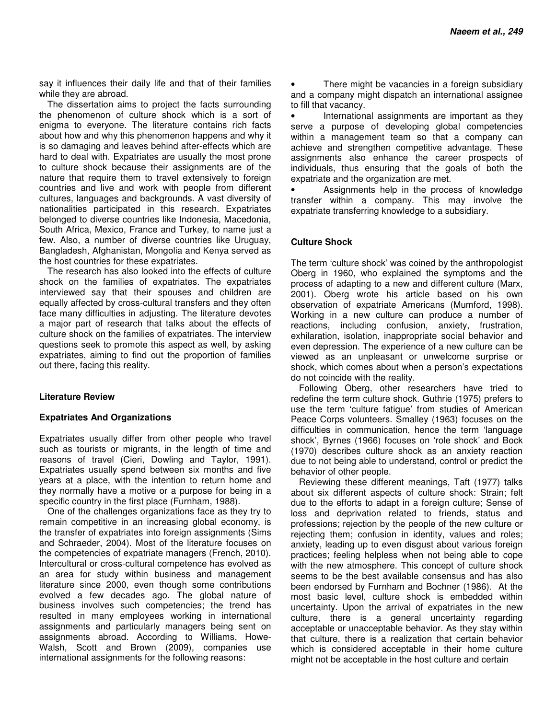say it influences their daily life and that of their families while they are abroad.

The dissertation aims to project the facts surrounding the phenomenon of culture shock which is a sort of enigma to everyone. The literature contains rich facts about how and why this phenomenon happens and why it is so damaging and leaves behind after-effects which are hard to deal with. Expatriates are usually the most prone to culture shock because their assignments are of the nature that require them to travel extensively to foreign countries and live and work with people from different cultures, languages and backgrounds. A vast diversity of nationalities participated in this research. Expatriates belonged to diverse countries like Indonesia, Macedonia, South Africa, Mexico, France and Turkey, to name just a few. Also, a number of diverse countries like Uruguay, Bangladesh, Afghanistan, Mongolia and Kenya served as the host countries for these expatriates.

The research has also looked into the effects of culture shock on the families of expatriates. The expatriates interviewed say that their spouses and children are equally affected by cross-cultural transfers and they often face many difficulties in adjusting. The literature devotes a major part of research that talks about the effects of culture shock on the families of expatriates. The interview questions seek to promote this aspect as well, by asking expatriates, aiming to find out the proportion of families out there, facing this reality.

## **Literature Review**

#### **Expatriates And Organizations**

Expatriates usually differ from other people who travel such as tourists or migrants, in the length of time and reasons of travel (Cieri, Dowling and Taylor, 1991). Expatriates usually spend between six months and five years at a place, with the intention to return home and they normally have a motive or a purpose for being in a specific country in the first place (Furnham, 1988).

One of the challenges organizations face as they try to remain competitive in an increasing global economy, is the transfer of expatriates into foreign assignments (Sims and Schraeder, 2004). Most of the literature focuses on the competencies of expatriate managers (French, 2010). Intercultural or cross-cultural competence has evolved as an area for study within business and management literature since 2000, even though some contributions evolved a few decades ago. The global nature of business involves such competencies; the trend has resulted in many employees working in international assignments and particularly managers being sent on assignments abroad. According to Williams, Howe-Walsh, Scott and Brown (2009), companies use international assignments for the following reasons:

There might be vacancies in a foreign subsidiary and a company might dispatch an international assignee to fill that vacancy.

International assignments are important as they serve a purpose of developing global competencies within a management team so that a company can achieve and strengthen competitive advantage. These assignments also enhance the career prospects of individuals, thus ensuring that the goals of both the expatriate and the organization are met.

• Assignments help in the process of knowledge transfer within a company. This may involve the expatriate transferring knowledge to a subsidiary.

## **Culture Shock**

The term 'culture shock' was coined by the anthropologist Oberg in 1960, who explained the symptoms and the process of adapting to a new and different culture (Marx, 2001). Oberg wrote his article based on his own observation of expatriate Americans (Mumford, 1998). Working in a new culture can produce a number of reactions, including confusion, anxiety, frustration, exhilaration, isolation, inappropriate social behavior and even depression. The experience of a new culture can be viewed as an unpleasant or unwelcome surprise or shock, which comes about when a person's expectations do not coincide with the reality.

Following Oberg, other researchers have tried to redefine the term culture shock. Guthrie (1975) prefers to use the term 'culture fatigue' from studies of American Peace Corps volunteers. Smalley (1963) focuses on the difficulties in communication, hence the term 'language shock', Byrnes (1966) focuses on 'role shock' and Bock (1970) describes culture shock as an anxiety reaction due to not being able to understand, control or predict the behavior of other people.

Reviewing these different meanings, Taft (1977) talks about six different aspects of culture shock: Strain; felt due to the efforts to adapt in a foreign culture; Sense of loss and deprivation related to friends, status and professions; rejection by the people of the new culture or rejecting them; confusion in identity, values and roles; anxiety, leading up to even disgust about various foreign practices; feeling helpless when not being able to cope with the new atmosphere. This concept of culture shock seems to be the best available consensus and has also been endorsed by Furnham and Bochner (1986). At the most basic level, culture shock is embedded within uncertainty. Upon the arrival of expatriates in the new culture, there is a general uncertainty regarding acceptable or unacceptable behavior. As they stay within that culture, there is a realization that certain behavior which is considered acceptable in their home culture might not be acceptable in the host culture and certain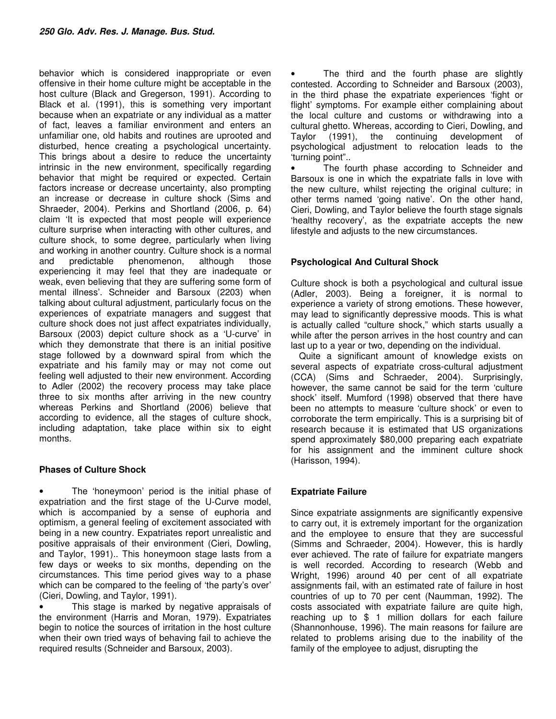behavior which is considered inappropriate or even offensive in their home culture might be acceptable in the host culture (Black and Gregerson, 1991). According to Black et al. (1991), this is something very important because when an expatriate or any individual as a matter of fact, leaves a familiar environment and enters an unfamiliar one, old habits and routines are uprooted and disturbed, hence creating a psychological uncertainty. This brings about a desire to reduce the uncertainty intrinsic in the new environment, specifically regarding behavior that might be required or expected. Certain factors increase or decrease uncertainty, also prompting an increase or decrease in culture shock (Sims and Shraeder, 2004). Perkins and Shortland (2006, p. 64) claim 'It is expected that most people will experience culture surprise when interacting with other cultures, and culture shock, to some degree, particularly when living and working in another country. Culture shock is a normal and predictable phenomenon, although those experiencing it may feel that they are inadequate or weak, even believing that they are suffering some form of mental illness'. Schneider and Barsoux (2203) when talking about cultural adjustment, particularly focus on the experiences of expatriate managers and suggest that culture shock does not just affect expatriates individually, Barsoux (2003) depict culture shock as a 'U-curve' in which they demonstrate that there is an initial positive stage followed by a downward spiral from which the expatriate and his family may or may not come out feeling well adjusted to their new environment. According to Adler (2002) the recovery process may take place three to six months after arriving in the new country whereas Perkins and Shortland (2006) believe that according to evidence, all the stages of culture shock, including adaptation, take place within six to eight months.

# **Phases of Culture Shock**

The 'honeymoon' period is the initial phase of expatriation and the first stage of the U-Curve model, which is accompanied by a sense of euphoria and optimism, a general feeling of excitement associated with being in a new country. Expatriates report unrealistic and positive appraisals of their environment (Cieri, Dowling, and Taylor, 1991).. This honeymoon stage lasts from a few days or weeks to six months, depending on the circumstances. This time period gives way to a phase which can be compared to the feeling of 'the party's over' (Cieri, Dowling, and Taylor, 1991).

This stage is marked by negative appraisals of the environment (Harris and Moran, 1979). Expatriates begin to notice the sources of irritation in the host culture when their own tried ways of behaving fail to achieve the required results (Schneider and Barsoux, 2003).

The third and the fourth phase are slightly contested. According to Schneider and Barsoux (2003), in the third phase the expatriate experiences 'fight or flight' symptoms. For example either complaining about the local culture and customs or withdrawing into a cultural ghetto. Whereas, according to Cieri, Dowling, and Taylor (1991), the continuing development of psychological adjustment to relocation leads to the 'turning point"..

• The fourth phase according to Schneider and Barsoux is one in which the expatriate falls in love with the new culture, whilst rejecting the original culture; in other terms named 'going native'. On the other hand, Cieri, Dowling, and Taylor believe the fourth stage signals 'healthy recovery', as the expatriate accepts the new lifestyle and adjusts to the new circumstances.

# **Psychological And Cultural Shock**

Culture shock is both a psychological and cultural issue (Adler, 2003). Being a foreigner, it is normal to experience a variety of strong emotions. These however, may lead to significantly depressive moods. This is what is actually called "culture shock," which starts usually a while after the person arrives in the host country and can last up to a year or two, depending on the individual.

Quite a significant amount of knowledge exists on several aspects of expatriate cross-cultural adjustment (CCA) (Sims and Schraeder, 2004). Surprisingly, however, the same cannot be said for the term 'culture shock' itself. Mumford (1998) observed that there have been no attempts to measure 'culture shock' or even to corroborate the term empirically. This is a surprising bit of research because it is estimated that US organizations spend approximately \$80,000 preparing each expatriate for his assignment and the imminent culture shock (Harisson, 1994).

# **Expatriate Failure**

Since expatriate assignments are significantly expensive to carry out, it is extremely important for the organization and the employee to ensure that they are successful (Simms and Schraeder, 2004). However, this is hardly ever achieved. The rate of failure for expatriate mangers is well recorded. According to research (Webb and Wright, 1996) around 40 per cent of all expatriate assignments fail, with an estimated rate of failure in host countries of up to 70 per cent (Naumman, 1992). The costs associated with expatriate failure are quite high, reaching up to \$ 1 million dollars for each failure (Shannonhouse, 1996). The main reasons for failure are related to problems arising due to the inability of the family of the employee to adjust, disrupting the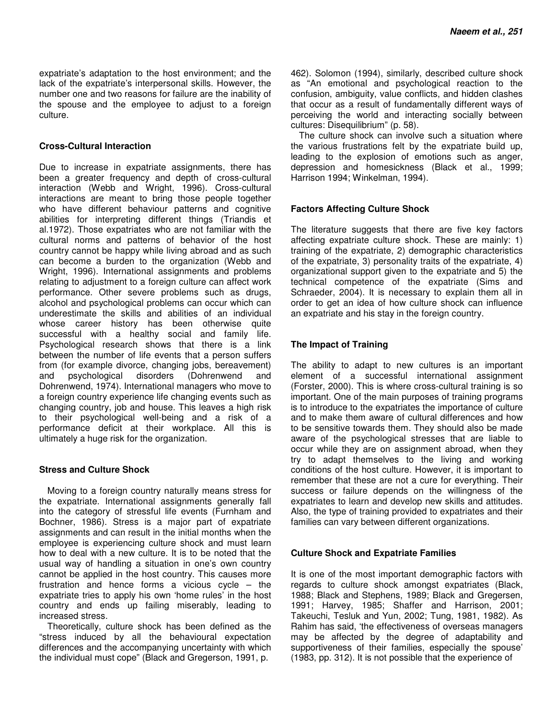expatriate's adaptation to the host environment; and the lack of the expatriate's interpersonal skills. However, the number one and two reasons for failure are the inability of the spouse and the employee to adjust to a foreign culture.

## **Cross-Cultural Interaction**

Due to increase in expatriate assignments, there has been a greater frequency and depth of cross-cultural interaction (Webb and Wright, 1996). Cross-cultural interactions are meant to bring those people together who have different behaviour patterns and cognitive abilities for interpreting different things (Triandis et al.1972). Those expatriates who are not familiar with the cultural norms and patterns of behavior of the host country cannot be happy while living abroad and as such can become a burden to the organization (Webb and Wright, 1996). International assignments and problems relating to adjustment to a foreign culture can affect work performance. Other severe problems such as drugs, alcohol and psychological problems can occur which can underestimate the skills and abilities of an individual whose career history has been otherwise quite successful with a healthy social and family life. Psychological research shows that there is a link between the number of life events that a person suffers from (for example divorce, changing jobs, bereavement) and psychological disorders (Dohrenwend and Dohrenwend, 1974). International managers who move to a foreign country experience life changing events such as changing country, job and house. This leaves a high risk to their psychological well-being and a risk of a performance deficit at their workplace. All this is ultimately a huge risk for the organization.

## **Stress and Culture Shock**

Moving to a foreign country naturally means stress for the expatriate. International assignments generally fall into the category of stressful life events (Furnham and Bochner, 1986). Stress is a major part of expatriate assignments and can result in the initial months when the employee is experiencing culture shock and must learn how to deal with a new culture. It is to be noted that the usual way of handling a situation in one's own country cannot be applied in the host country. This causes more frustration and hence forms a vicious cycle – the expatriate tries to apply his own 'home rules' in the host country and ends up failing miserably, leading to increased stress.

Theoretically, culture shock has been defined as the "stress induced by all the behavioural expectation differences and the accompanying uncertainty with which the individual must cope" (Black and Gregerson, 1991, p.

462). Solomon (1994), similarly, described culture shock as "An emotional and psychological reaction to the confusion, ambiguity, value conflicts, and hidden clashes that occur as a result of fundamentally different ways of perceiving the world and interacting socially between cultures: Disequilibrium" (p. 58).

The culture shock can involve such a situation where the various frustrations felt by the expatriate build up, leading to the explosion of emotions such as anger, depression and homesickness (Black et al., 1999; Harrison 1994; Winkelman, 1994).

## **Factors Affecting Culture Shock**

The literature suggests that there are five key factors affecting expatriate culture shock. These are mainly: 1) training of the expatriate, 2) demographic characteristics of the expatriate, 3) personality traits of the expatriate, 4) organizational support given to the expatriate and 5) the technical competence of the expatriate (Sims and Schraeder, 2004). It is necessary to explain them all in order to get an idea of how culture shock can influence an expatriate and his stay in the foreign country.

## **The Impact of Training**

The ability to adapt to new cultures is an important element of a successful international assignment (Forster, 2000). This is where cross-cultural training is so important. One of the main purposes of training programs is to introduce to the expatriates the importance of culture and to make them aware of cultural differences and how to be sensitive towards them. They should also be made aware of the psychological stresses that are liable to occur while they are on assignment abroad, when they try to adapt themselves to the living and working conditions of the host culture. However, it is important to remember that these are not a cure for everything. Their success or failure depends on the willingness of the expatriates to learn and develop new skills and attitudes. Also, the type of training provided to expatriates and their families can vary between different organizations.

## **Culture Shock and Expatriate Families**

It is one of the most important demographic factors with regards to culture shock amongst expatriates (Black, 1988; Black and Stephens, 1989; Black and Gregersen, 1991; Harvey, 1985; Shaffer and Harrison, 2001; Takeuchi, Tesluk and Yun, 2002; Tung, 1981, 1982). As Rahim has said, 'the effectiveness of overseas managers may be affected by the degree of adaptability and supportiveness of their families, especially the spouse' (1983, pp. 312). It is not possible that the experience of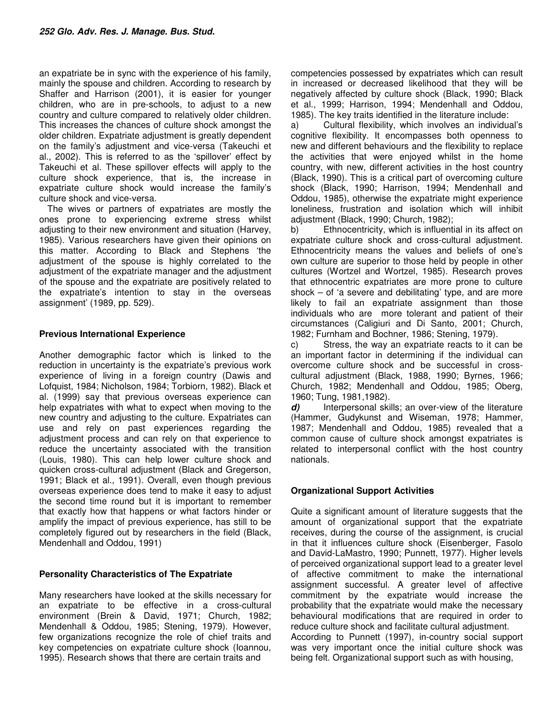an expatriate be in sync with the experience of his family, mainly the spouse and children. According to research by Shaffer and Harrison (2001), it is easier for younger children, who are in pre-schools, to adjust to a new country and culture compared to relatively older children. This increases the chances of culture shock amongst the older children. Expatriate adjustment is greatly dependent on the family's adjustment and vice-versa (Takeuchi et al., 2002). This is referred to as the 'spillover' effect by Takeuchi et al. These spillover effects will apply to the culture shock experience, that is, the increase in expatriate culture shock would increase the family's culture shock and vice-versa.

The wives or partners of expatriates are mostly the ones prone to experiencing extreme stress whilst adjusting to their new environment and situation (Harvey, 1985). Various researchers have given their opinions on this matter. According to Black and Stephens 'the adjustment of the spouse is highly correlated to the adjustment of the expatriate manager and the adjustment of the spouse and the expatriate are positively related to the expatriate's intention to stay in the overseas assignment' (1989, pp. 529).

## **Previous International Experience**

Another demographic factor which is linked to the reduction in uncertainty is the expatriate's previous work experience of living in a foreign country (Dawis and Lofquist, 1984; Nicholson, 1984; Torbiorn, 1982). Black et al. (1999) say that previous overseas experience can help expatriates with what to expect when moving to the new country and adjusting to the culture. Expatriates can use and rely on past experiences regarding the adjustment process and can rely on that experience to reduce the uncertainty associated with the transition (Louis, 1980). This can help lower culture shock and quicken cross-cultural adjustment (Black and Gregerson, 1991; Black et al., 1991). Overall, even though previous overseas experience does tend to make it easy to adjust the second time round but it is important to remember that exactly how that happens or what factors hinder or amplify the impact of previous experience, has still to be completely figured out by researchers in the field (Black, Mendenhall and Oddou, 1991)

## **Personality Characteristics of The Expatriate**

Many researchers have looked at the skills necessary for an expatriate to be effective in a cross-cultural environment (Brein & David, 1971; Church, 1982; Mendenhall & Oddou, 1985; Stening, 1979). However, few organizations recognize the role of chief traits and key competencies on expatriate culture shock (Ioannou, 1995). Research shows that there are certain traits and

competencies possessed by expatriates which can result in increased or decreased likelihood that they will be negatively affected by culture shock (Black, 1990; Black et al., 1999; Harrison, 1994; Mendenhall and Oddou, 1985). The key traits identified in the literature include:

a) Cultural flexibility, which involves an individual's cognitive flexibility. It encompasses both openness to new and different behaviours and the flexibility to replace the activities that were enjoyed whilst in the home country, with new, different activities in the host country (Black, 1990). This is a critical part of overcoming culture shock (Black, 1990; Harrison, 1994; Mendenhall and Oddou, 1985), otherwise the expatriate might experience loneliness, frustration and isolation which will inhibit adjustment (Black, 1990; Church, 1982);

b) Ethnocentricity, which is influential in its affect on expatriate culture shock and cross-cultural adjustment. Ethnocentricity means the values and beliefs of one's own culture are superior to those held by people in other cultures (Wortzel and Wortzel, 1985). Research proves that ethnocentric expatriates are more prone to culture shock – of 'a severe and debilitating' type, and are more likely to fail an expatriate assignment than those individuals who are more tolerant and patient of their circumstances (Caligiuri and Di Santo, 2001; Church, 1982; Furnham and Bochner, 1986; Stening, 1979).

c) Stress, the way an expatriate reacts to it can be an important factor in determining if the individual can overcome culture shock and be successful in crosscultural adjustment (Black, 1988, 1990; Byrnes, 1966; Church, 1982; Mendenhall and Oddou, 1985; Oberg, 1960; Tung, 1981,1982).

**d)** Interpersonal skills; an over-view of the literature (Hammer, Gudykunst and Wiseman, 1978; Hammer, 1987; Mendenhall and Oddou, 1985) revealed that a common cause of culture shock amongst expatriates is related to interpersonal conflict with the host country nationals.

# **Organizational Support Activities**

Quite a significant amount of literature suggests that the amount of organizational support that the expatriate receives, during the course of the assignment, is crucial in that it influences culture shock (Eisenberger, Fasolo and David-LaMastro, 1990; Punnett, 1977). Higher levels of perceived organizational support lead to a greater level of affective commitment to make the international assignment successful. A greater level of affective commitment by the expatriate would increase the probability that the expatriate would make the necessary behavioural modifications that are required in order to reduce culture shock and facilitate cultural adjustment. According to Punnett (1997), in-country social support was very important once the initial culture shock was being felt. Organizational support such as with housing,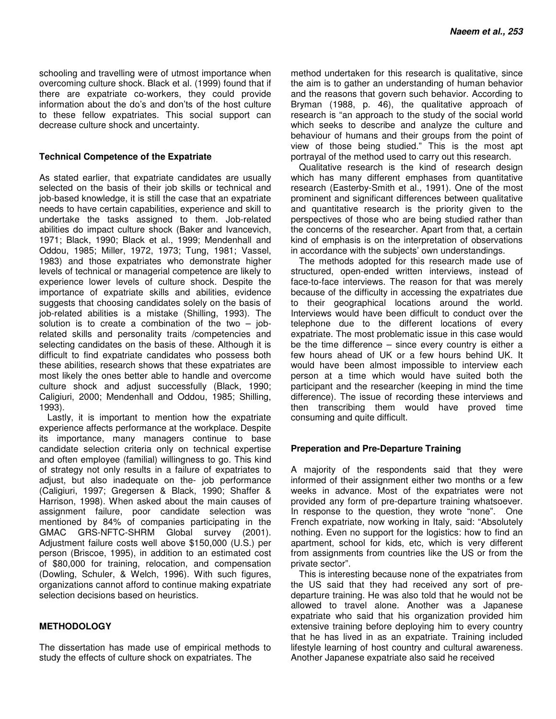schooling and travelling were of utmost importance when overcoming culture shock. Black et al. (1999) found that if there are expatriate co-workers, they could provide information about the do's and don'ts of the host culture to these fellow expatriates. This social support can decrease culture shock and uncertainty.

## **Technical Competence of the Expatriate**

As stated earlier, that expatriate candidates are usually selected on the basis of their job skills or technical and job-based knowledge, it is still the case that an expatriate needs to have certain capabilities, experience and skill to undertake the tasks assigned to them. Job-related abilities do impact culture shock (Baker and Ivancevich, 1971; Black, 1990; Black et al., 1999; Mendenhall and Oddou, 1985; Miller, 1972, 1973; Tung, 1981; Vassel, 1983) and those expatriates who demonstrate higher levels of technical or managerial competence are likely to experience lower levels of culture shock. Despite the importance of expatriate skills and abilities, evidence suggests that choosing candidates solely on the basis of job-related abilities is a mistake (Shilling, 1993). The solution is to create a combination of the two  $-$  jobrelated skills and personality traits /competencies and selecting candidates on the basis of these. Although it is difficult to find expatriate candidates who possess both these abilities, research shows that these expatriates are most likely the ones better able to handle and overcome culture shock and adjust successfully (Black, 1990; Caligiuri, 2000; Mendenhall and Oddou, 1985; Shilling, 1993).

Lastly, it is important to mention how the expatriate experience affects performance at the workplace. Despite its importance, many managers continue to base candidate selection criteria only on technical expertise and often employee (familial) willingness to go. This kind of strategy not only results in a failure of expatriates to adjust, but also inadequate on the- job performance (Caligiuri, 1997; Gregersen & Black, 1990; Shaffer & Harrison, 1998). When asked about the main causes of assignment failure, poor candidate selection was mentioned by 84% of companies participating in the GMAC GRS-NFTC-SHRM Global survey (2001). Adjustment failure costs well above \$150,000 (U.S.) per person (Briscoe, 1995), in addition to an estimated cost of \$80,000 for training, relocation, and compensation (Dowling, Schuler, & Welch, 1996). With such figures, organizations cannot afford to continue making expatriate selection decisions based on heuristics.

## **METHODOLOGY**

The dissertation has made use of empirical methods to study the effects of culture shock on expatriates. The

method undertaken for this research is qualitative, since the aim is to gather an understanding of human behavior and the reasons that govern such behavior. According to Bryman (1988, p. 46), the qualitative approach of research is "an approach to the study of the social world which seeks to describe and analyze the culture and behaviour of humans and their groups from the point of view of those being studied." This is the most apt portrayal of the method used to carry out this research.

Qualitative research is the kind of research design which has many different emphases from quantitative research (Easterby-Smith et al., 1991). One of the most prominent and significant differences between qualitative and quantitative research is the priority given to the perspectives of those who are being studied rather than the concerns of the researcher. Apart from that, a certain kind of emphasis is on the interpretation of observations in accordance with the subjects' own understandings.

The methods adopted for this research made use of structured, open-ended written interviews, instead of face-to-face interviews. The reason for that was merely because of the difficulty in accessing the expatriates due to their geographical locations around the world. Interviews would have been difficult to conduct over the telephone due to the different locations of every expatriate. The most problematic issue in this case would be the time difference  $-$  since every country is either a few hours ahead of UK or a few hours behind UK. It would have been almost impossible to interview each person at a time which would have suited both the participant and the researcher (keeping in mind the time difference). The issue of recording these interviews and then transcribing them would have proved time consuming and quite difficult.

## **Preperation and Pre-Departure Training**

A majority of the respondents said that they were informed of their assignment either two months or a few weeks in advance. Most of the expatriates were not provided any form of pre-departure training whatsoever. In response to the question, they wrote "none". One French expatriate, now working in Italy, said: "Absolutely nothing. Even no support for the logistics: how to find an apartment, school for kids, etc, which is very different from assignments from countries like the US or from the private sector".

This is interesting because none of the expatriates from the US said that they had received any sort of predeparture training. He was also told that he would not be allowed to travel alone. Another was a Japanese expatriate who said that his organization provided him extensive training before deploying him to every country that he has lived in as an expatriate. Training included lifestyle learning of host country and cultural awareness. Another Japanese expatriate also said he received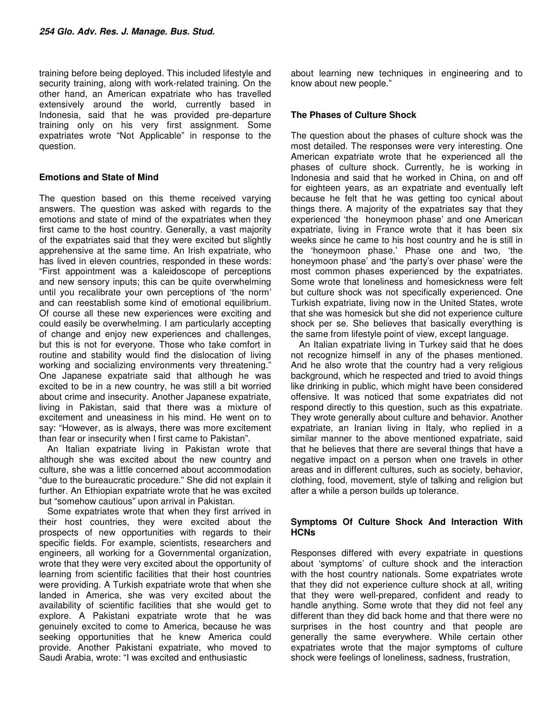training before being deployed. This included lifestyle and security training, along with work-related training. On the other hand, an American expatriate who has travelled extensively around the world, currently based in Indonesia, said that he was provided pre-departure training only on his very first assignment. Some expatriates wrote "Not Applicable" in response to the question.

## **Emotions and State of Mind**

The question based on this theme received varying answers. The question was asked with regards to the emotions and state of mind of the expatriates when they first came to the host country. Generally, a vast majority of the expatriates said that they were excited but slightly apprehensive at the same time. An Irish expatriate, who has lived in eleven countries, responded in these words: "First appointment was a kaleidoscope of perceptions and new sensory inputs; this can be quite overwhelming until you recalibrate your own perceptions of 'the norm' and can reestablish some kind of emotional equilibrium. Of course all these new experiences were exciting and could easily be overwhelming. I am particularly accepting of change and enjoy new experiences and challenges, but this is not for everyone. Those who take comfort in routine and stability would find the dislocation of living working and socializing environments very threatening." One Japanese expatriate said that although he was excited to be in a new country, he was still a bit worried about crime and insecurity. Another Japanese expatriate, living in Pakistan, said that there was a mixture of excitement and uneasiness in his mind. He went on to say: "However, as is always, there was more excitement than fear or insecurity when I first came to Pakistan".

An Italian expatriate living in Pakistan wrote that although she was excited about the new country and culture, she was a little concerned about accommodation "due to the bureaucratic procedure." She did not explain it further. An Ethiopian expatriate wrote that he was excited but "somehow cautious" upon arrival in Pakistan.

Some expatriates wrote that when they first arrived in their host countries, they were excited about the prospects of new opportunities with regards to their specific fields. For example, scientists, researchers and engineers, all working for a Governmental organization, wrote that they were very excited about the opportunity of learning from scientific facilities that their host countries were providing. A Turkish expatriate wrote that when she landed in America, she was very excited about the availability of scientific facilities that she would get to explore. A Pakistani expatriate wrote that he was genuinely excited to come to America, because he was seeking opportunities that he knew America could provide. Another Pakistani expatriate, who moved to Saudi Arabia, wrote: "I was excited and enthusiastic

about learning new techniques in engineering and to know about new people."

## **The Phases of Culture Shock**

The question about the phases of culture shock was the most detailed. The responses were very interesting. One American expatriate wrote that he experienced all the phases of culture shock. Currently, he is working in Indonesia and said that he worked in China, on and off for eighteen years, as an expatriate and eventually left because he felt that he was getting too cynical about things there. A majority of the expatriates say that they experienced 'the honeymoon phase' and one American expatriate, living in France wrote that it has been six weeks since he came to his host country and he is still in the 'honeymoon phase.' Phase one and two, 'the honeymoon phase' and 'the party's over phase' were the most common phases experienced by the expatriates. Some wrote that loneliness and homesickness were felt but culture shock was not specifically experienced. One Turkish expatriate, living now in the United States, wrote that she was homesick but she did not experience culture shock per se. She believes that basically everything is the same from lifestyle point of view, except language.

An Italian expatriate living in Turkey said that he does not recognize himself in any of the phases mentioned. And he also wrote that the country had a very religious background, which he respected and tried to avoid things like drinking in public, which might have been considered offensive. It was noticed that some expatriates did not respond directly to this question, such as this expatriate. They wrote generally about culture and behavior. Another expatriate, an Iranian living in Italy, who replied in a similar manner to the above mentioned expatriate, said that he believes that there are several things that have a negative impact on a person when one travels in other areas and in different cultures, such as society, behavior, clothing, food, movement, style of talking and religion but after a while a person builds up tolerance.

## **Symptoms Of Culture Shock And Interaction With HCNs**

Responses differed with every expatriate in questions about 'symptoms' of culture shock and the interaction with the host country nationals. Some expatriates wrote that they did not experience culture shock at all, writing that they were well-prepared, confident and ready to handle anything. Some wrote that they did not feel any different than they did back home and that there were no surprises in the host country and that people are generally the same everywhere. While certain other expatriates wrote that the major symptoms of culture shock were feelings of loneliness, sadness, frustration,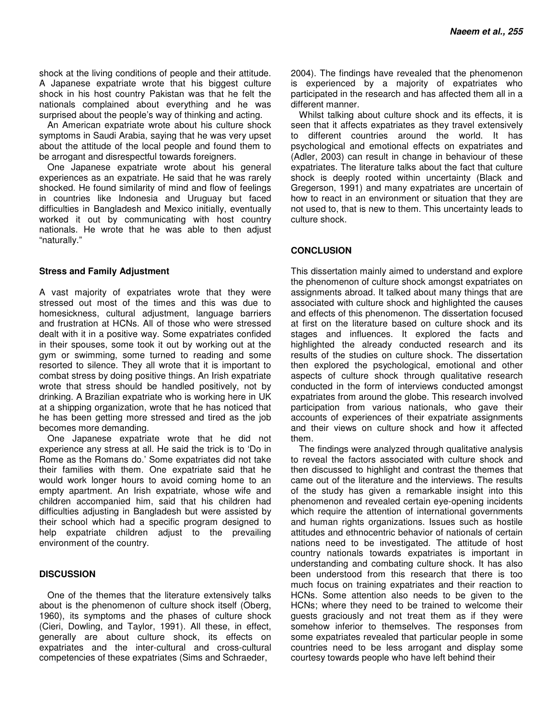shock at the living conditions of people and their attitude. A Japanese expatriate wrote that his biggest culture shock in his host country Pakistan was that he felt the nationals complained about everything and he was surprised about the people's way of thinking and acting.

An American expatriate wrote about his culture shock symptoms in Saudi Arabia, saying that he was very upset about the attitude of the local people and found them to be arrogant and disrespectful towards foreigners.

One Japanese expatriate wrote about his general experiences as an expatriate. He said that he was rarely shocked. He found similarity of mind and flow of feelings in countries like Indonesia and Uruguay but faced difficulties in Bangladesh and Mexico initially, eventually worked it out by communicating with host country nationals. He wrote that he was able to then adjust "naturally."

#### **Stress and Family Adjustment**

A vast majority of expatriates wrote that they were stressed out most of the times and this was due to homesickness, cultural adjustment, language barriers and frustration at HCNs. All of those who were stressed dealt with it in a positive way. Some expatriates confided in their spouses, some took it out by working out at the gym or swimming, some turned to reading and some resorted to silence. They all wrote that it is important to combat stress by doing positive things. An Irish expatriate wrote that stress should be handled positively, not by drinking. A Brazilian expatriate who is working here in UK at a shipping organization, wrote that he has noticed that he has been getting more stressed and tired as the job becomes more demanding.

One Japanese expatriate wrote that he did not experience any stress at all. He said the trick is to 'Do in Rome as the Romans do.' Some expatriates did not take their families with them. One expatriate said that he would work longer hours to avoid coming home to an empty apartment. An Irish expatriate, whose wife and children accompanied him, said that his children had difficulties adjusting in Bangladesh but were assisted by their school which had a specific program designed to help expatriate children adjust to the prevailing environment of the country.

## **DISCUSSION**

One of the themes that the literature extensively talks about is the phenomenon of culture shock itself (Oberg, 1960), its symptoms and the phases of culture shock (Cieri, Dowling, and Taylor, 1991). All these, in effect, generally are about culture shock, its effects on expatriates and the inter-cultural and cross-cultural competencies of these expatriates (Sims and Schraeder,

2004). The findings have revealed that the phenomenon is experienced by a majority of expatriates who participated in the research and has affected them all in a different manner.

Whilst talking about culture shock and its effects, it is seen that it affects expatriates as they travel extensively to different countries around the world. It has psychological and emotional effects on expatriates and (Adler, 2003) can result in change in behaviour of these expatriates. The literature talks about the fact that culture shock is deeply rooted within uncertainty (Black and Gregerson, 1991) and many expatriates are uncertain of how to react in an environment or situation that they are not used to, that is new to them. This uncertainty leads to culture shock.

## **CONCLUSION**

This dissertation mainly aimed to understand and explore the phenomenon of culture shock amongst expatriates on assignments abroad. It talked about many things that are associated with culture shock and highlighted the causes and effects of this phenomenon. The dissertation focused at first on the literature based on culture shock and its stages and influences. It explored the facts and highlighted the already conducted research and its results of the studies on culture shock. The dissertation then explored the psychological, emotional and other aspects of culture shock through qualitative research conducted in the form of interviews conducted amongst expatriates from around the globe. This research involved participation from various nationals, who gave their accounts of experiences of their expatriate assignments and their views on culture shock and how it affected them.

The findings were analyzed through qualitative analysis to reveal the factors associated with culture shock and then discussed to highlight and contrast the themes that came out of the literature and the interviews. The results of the study has given a remarkable insight into this phenomenon and revealed certain eye-opening incidents which require the attention of international governments and human rights organizations. Issues such as hostile attitudes and ethnocentric behavior of nationals of certain nations need to be investigated. The attitude of host country nationals towards expatriates is important in understanding and combating culture shock. It has also been understood from this research that there is too much focus on training expatriates and their reaction to HCNs. Some attention also needs to be given to the HCNs; where they need to be trained to welcome their guests graciously and not treat them as if they were somehow inferior to themselves. The responses from some expatriates revealed that particular people in some countries need to be less arrogant and display some courtesy towards people who have left behind their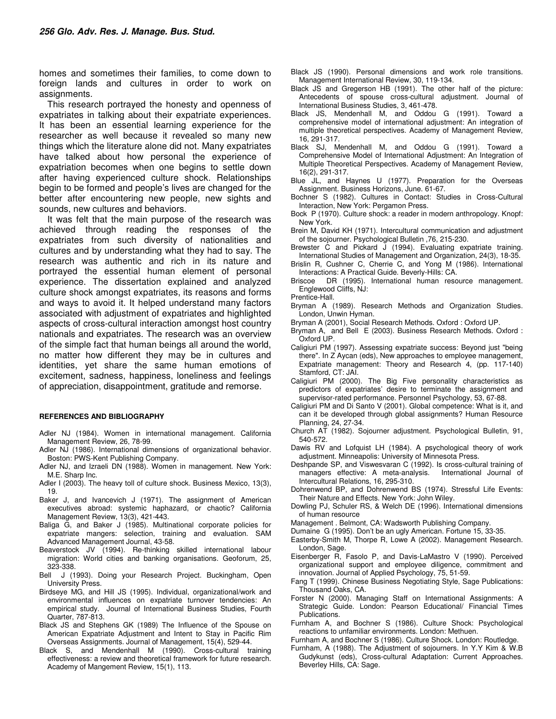homes and sometimes their families, to come down to foreign lands and cultures in order to work on assignments.

This research portrayed the honesty and openness of expatriates in talking about their expatriate experiences. It has been an essential learning experience for the researcher as well because it revealed so many new things which the literature alone did not. Many expatriates have talked about how personal the experience of expatriation becomes when one begins to settle down after having experienced culture shock. Relationships begin to be formed and people's lives are changed for the better after encountering new people, new sights and sounds, new cultures and behaviors.

It was felt that the main purpose of the research was achieved through reading the responses of the expatriates from such diversity of nationalities and cultures and by understanding what they had to say. The research was authentic and rich in its nature and portrayed the essential human element of personal experience. The dissertation explained and analyzed culture shock amongst expatriates, its reasons and forms and ways to avoid it. It helped understand many factors associated with adjustment of expatriates and highlighted aspects of cross-cultural interaction amongst host country nationals and expatriates. The research was an overview of the simple fact that human beings all around the world, no matter how different they may be in cultures and identities, yet share the same human emotions of excitement, sadness, happiness, loneliness and feelings of appreciation, disappointment, gratitude and remorse.

#### **REFERENCES AND BIBLIOGRAPHY**

- Adler NJ (1984). Women in international management. California Management Review, 26, 78-99.
- Adler NJ (1986). International dimensions of organizational behavior. Boston: PWS-Kent Publishing Company.
- Adler NJ, and Izraeli DN (1988). Women in management. New York: M.E. Sharp Inc.
- Adler I (2003). The heavy toll of culture shock. Business Mexico, 13(3), 19.
- Baker J, and Ivancevich J (1971). The assignment of American executives abroad: systemic haphazard, or chaotic? California Management Review, 13(3), 421-443.
- Baliga G, and Baker J (1985). Multinational corporate policies for expatriate mangers: selection, training and evaluation. SAM Advanced Management Journal, 43-58.
- Beaverstock JV (1994). Re-thinking skilled international labour migration: World cities and banking organisations. Geoforum, 25, 323-338.
- Bell J (1993). Doing your Research Project. Buckingham, Open University Press.
- Birdseye MG, and Hill JS (1995). Individual, organizational/work and environmental influences on expatriate turnover tendencies: An empirical study. Journal of International Business Studies, Fourth Quarter, 787-813.
- Black JS and Stephens GK (1989) The Influence of the Spouse on American Expatriate Adjustment and Intent to Stay in Pacific Rim Overseas Assignments. Journal of Management, 15(4), 529-44.
- Black S, and Mendenhall M (1990). Cross-cultural training effectiveness: a review and theoretical framework for future research. Academy of Mangement Review, 15(1), 113.
- Black JS (1990). Personal dimensions and work role transitions. Management International Review, 30, 119-134.
- Black JS and Gregerson HB (1991). The other half of the picture: Antecedents of spouse cross-cultural adjustment. Journal of International Business Studies, 3, 461-478.
- Black JS, Mendenhall M, and Oddou G (1991). Toward a comprehensive model of international adjustment: An integration of multiple theoretical perspectives. Academy of Management Review, 16, 291-317.
- Black SJ, Mendenhall M, and Oddou G (1991). Toward a Comprehensive Model of International Adjustment: An Integration of Multiple Theoretical Perspectives. Academy of Management Review, 16(2), 291-317.
- Blue JL, and Haynes U (1977). Preparation for the Overseas Assignment. Business Horizons, June. 61-67.
- Bochner S (1982). Cultures in Contact: Studies in Cross-Cultural Interaction, New York: Pergamon Press.
- Bock P (1970). Culture shock: a reader in modern anthropology. Knopf: New York.
- Brein M, David KH (1971). Intercultural communication and adjustment of the sojourner. Psychological Bulletin ,76, 215-230.
- Brewster C and Pickard J (1994). Evaluating expatriate training. International Studies of Management and Organization, 24(3), 18-35.
- Brislin R, Cushner C, Cherrie C, and Yong M (1986). International Interactions: A Practical Guide. Beverly-Hills: CA.
- Briscoe DR (1995). International human resource management. Englewood Cliffs, NJ:

- Bryman A (1989). Research Methods and Organization Studies. London, Unwin Hyman.
- Bryman A (2001), Social Research Methods. Oxford : Oxford UP.
- Bryman A, and Bell E (2003). Business Research Methods. Oxford : Oxford UP.
- Caligiuri PM (1997). Assessing expatriate success: Beyond just "being there". In Z Aycan (eds), New approaches to employee management, Expatriate management: Theory and Research 4, (pp. 117-140) Stamford, CT: JAI.
- Caligiuri PM (2000). The Big Five personality characteristics as predictors of expatriates' desire to terminate the assignment and supervisor-rated performance. Personnel Psychology, 53, 67-88.
- Caligiuri PM and Di Santo V (2001). Global competence: What is it, and can it be developed through global assignments? Human Resource Planning, 24, 27-34.
- Church AT (1982). Sojourner adjustment. Psychological Bulletin, 91, 540-572.
- Dawis RV and Lofquist LH (1984). A psychological theory of work adjustment. Minneapolis: University of Minnesota Press.
- Deshpande SP, and Viswesvaran C (1992). Is cross-cultural training of managers effective: A meta-analysis. International Journal of Intercultural Relations, 16, 295-310.
- Dohrenwend BP, and Dohrenwend BS (1974). Stressful Life Events: Their Nature and Effects. New York: John Wiley.
- Dowling PJ, Schuler RS, & Welch DE (1996). International dimensions of human resource
- Management . Belmont, CA: Wadsworth Publishing Company.
- Dumaine G (1995). Don't be an ugly American. Fortune 15, 33-35.
- Easterby-Smith M, Thorpe R, Lowe A (2002). Management Research. London, Sage.
- Eisenberger R, Fasolo P, and Davis-LaMastro V (1990). Perceived organizational support and employee diligence, commitment and innovation. Journal of Applied Psychology, 75, 51-59.
- Fang T (1999). Chinese Business Negotiating Style, Sage Publications: Thousand Oaks, CA.
- Forster N (2000). Managing Staff on International Assignments: A Strategic Guide. London: Pearson Educational/ Financial Times Publications.
- Furnham A, and Bochner S (1986). Culture Shock: Psychological reactions to unfamiliar environments. London: Methuen.
- Furnham A, and Bochner S (1986). Culture Shock. London: Routledge.
- Furnham, A (1988). The Adjustment of sojourners. In Y.Y Kim & W.B Gudykunst (eds), Cross-cultural Adaptation: Current Approaches. Beverley Hills, CA: Sage.

Prentice-Hall.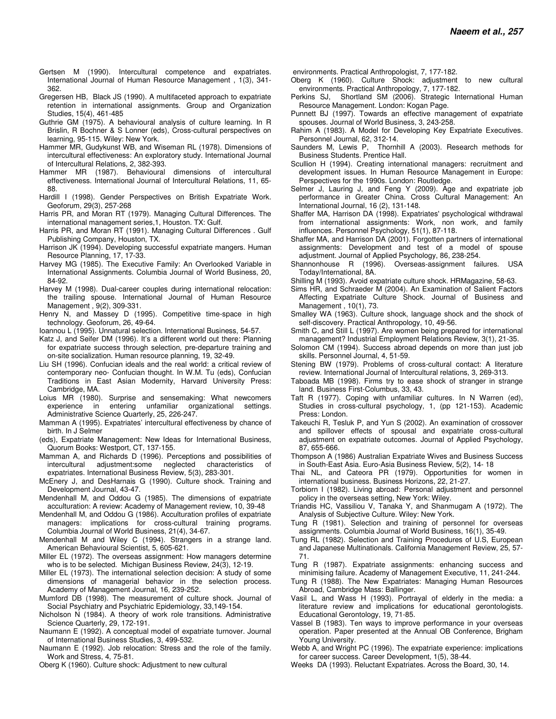- Gertsen M (1990). Intercultural competence and expatriates. International Journal of Human Resource Management , 1(3), 341- 362.
- Gregersen HB, Black JS (1990). A multifaceted approach to expatriate retention in international assignments. Group and Organization Studies, 15(4), 461-485
- Guthrie GM (1975). A behavioural analysis of culture learning. In R Brislin, R Bochner & S Lonner (eds), Cross-cultural perspectives on learning, 95-115. Wiley: New York.
- Hammer MR, Gudykunst WB, and Wiseman RL (1978). Dimensions of intercultural effectiveness: An exploratory study. International Journal of Intercultural Relations, 2, 382-393.
- Hammer MR (1987). Behavioural dimensions of intercultural effectiveness. International Journal of Intercultural Relations, 11, 65- 88.
- Hardill I (1998). Gender Perspectives on British Expatriate Work. Geoforum, 29(3), 257-268
- Harris PR, and Moran RT (1979). Managing Cultural Differences. The international management series,1, Houston. TX: Gulf.
- Harris PR, and Moran RT (1991). Managing Cultural Differences . Gulf Publishing Company, Houston, TX.
- Harrison JK (1994). Developing successful expatriate mangers. Human Resource Planning, 17, 17-33.
- Harvey MG (1985). The Executive Family: An Overlooked Variable in International Assignments. Columbia Journal of World Business, 20, 84-92.
- Harvey M (1998). Dual-career couples during international relocation: the trailing spouse. International Journal of Human Resource Management , 9(2), 309-331.
- Henry N, and Massey D (1995). Competitive time-space in high technology. Geoforum, 26, 49-64.
- Ioannou L (1995). Unnatural selection. International Business, 54-57.
- Katz J, and Seifer DM (1996). It's a different world out there: Planning for expatriate success through selection, pre-departure training and on-site socialization. Human resource planning, 19, 32-49.
- Liu SH (1996). Confucian ideals and the real world: a critical review of contemporary neo- Confucian thought. In W.M. Tu (eds), Confucian Traditions in East Asian Modernity, Harvard University Press: Cambridge, MA.
- Loius MR (1980). Surprise and sensemaking: What newcomers unfamiliar organizational settings. Administrative Science Quarterly, 25, 226-247.
- Mamman A (1995). Expatriates' intercultural effectiveness by chance of birth. In J Selmer
- (eds), Expatriate Management: New Ideas for International Business, Quorum Books: Westport, CT, 137-155.
- Mamman A, and Richards D (1996). Perceptions and possibilities of intercultural adjustment:some neglected characteristics of expatriates. International Business Review, 5(3), 283-301.
- McEnery J, and DesHarnais G (1990). Culture shock. Training and Development Journal, 43-47.
- Mendenhall M, and Oddou G (1985). The dimensions of expatriate acculturation: A review: Academy of Management review, 10, 39-48
- Mendenhall M, and Oddou G (1986). Acculturation profiles of expatriate managers: implications for cross-cultural training programs. Columbia Journal of World Business, 21(4), 34-67.
- Mendenhall M and Wiley C (1994). Strangers in a strange land. American Behavioural Scientist, 5, 605-621.
- Miller EL (1972). The overseas assignment: How managers determine who is to be selected. Michigan Business Review, 24(3), 12-19.
- Miller EL (1973). The international selection decision: A study of some dimensions of managerial behavior in the selection process. Academy of Management Journal, 16, 239-252.
- Mumford DB (1998). The measurement of culture shock. Journal of Social Psychiatry and Psychiatric Epidemiology, 33,149-154.
- Nicholson N (1984). A theory of work role transitions. Administrative Science Quarterly, 29, 172-191.
- Naumann E (1992). A conceptual model of expatriate turnover. Journal of International Business Studies, 3, 499-532.
- Naumann E (1992). Job relocation: Stress and the role of the family. Work and Stress, 4, 75-81.
- Oberg K (1960). Culture shock: Adjustment to new cultural
- environments. Practical Anthropologist, 7, 177-182.
- Oberg K (1960). Culture Shock: adjustment to new cultural environments. Practical Anthropology, 7, 177-182.
- Perkins SJ, Shortland SM (2006). Strategic International Human Resource Management. London: Kogan Page.
- Punnett BJ (1997). Towards an effective management of expatriate spouses. Journal of World Business, 3, 243-258.
- Rahim A (1983). A Model for Developing Key Expatriate Executives. Personnel Journal, 62, 312-14.
- Saunders M, Lewis P, Thornhill A (2003). Research methods for Business Students. Prentice Hall.
- Scullion H (1994). Creating international managers: recruitment and development issues. In Human Resource Management in Europe: Perspectives for the 1990s. London: Routledge.
- Selmer J, Lauring J, and Feng Y (2009). Age and expatriate job performance in Greater China. Cross Cultural Management: An International Journal, 16 (2), 131-148.
- Shaffer MA, Harrison DA (1998). Expatriates' psychological withdrawal from international assignments: Work, non work, and family influences. Personnel Psychology, 51(1), 87-118.
- Shaffer MA, and Harrison DA (2001). Forgotten partners of international assignments: Development and test of a model of spouse adjustment. Journal of Applied Psychology, 86, 238-254.
- Shannonhouse R (1996). Overseas-assignment failures. USA Today/International, 8A.
- Shilling M (1993). Avoid expatriate culture shock. HRMagazine, 58-63.
- Sims HR, and Schraeder M (2004). An Examination of Salient Factors Affecting Expatriate Culture Shock. Journal of Business and Management , 10(1), 73.
- Smalley WA (1963). Culture shock, language shock and the shock of self-discovery. Practical Anthropology, 10, 49-56.
- Smith C, and Still L (1997). Are women being prepared for international management? Industrial Employment Relations Review, 3(1), 21-35.
- Solomon CM (1994). Success abroad depends on more than just job skills. Personnel Journal, 4, 51-59.
- Stening BW (1979). Problems of cross-cultural contact: A literature review. International Journal of Intercultural relations, 3, 269-313.
- Taboada MB (1998). Firms try to ease shock of stranger in strange land. Business First-Columbus, 33, 43.
- Taft R (1977). Coping with unfamiliar cultures. In N Warren (ed), Studies in cross-cultural psychology, 1, (pp 121-153). Academic Press: London.
- Takeuchi R, Tesluk P, and Yun S (2002). An examination of crossover and spillover effects of spousal and expatriate cross-cultural adjustment on expatriate outcomes. Journal of Applied Psychology, 87, 655-666.
- Thompson A (1986) Australian Expatriate Wives and Business Success in South-East Asia. Euro-Asia Business Review, 5(2), 14- 18
- Thai NL, and Cateora PR (1979). Opportunities for women in international business. Business Horizons, 22, 21-27.
- Torbiorn I (1982). Living abroad: Personal adjustment and personnel policy in the overseas setting, New York: Wiley.
- Triandis HC, Vassiliou V, Tanaka Y, and Shanmugam A (1972). The Analysis of Subjective Culture. Wiley: New York.
- Tung R (1981). Selection and training of personnel for overseas assignments. Columbia Journal of World Business, 16(1), 35-49.
- Tung RL (1982). Selection and Training Procedures of U.S, European and Japanese Multinationals. California Management Review, 25, 57- 71.
- Tung R (1987). Expatriate assignments: enhancing success and minimising failure. Academy of Management Executive, 11, 241-244.
- Tung R (1988). The New Expatriates: Managing Human Resources Abroad, Cambridge Mass: Ballinger.
- Vasil L, and Wass H (1993). Portrayal of elderly in the media: a literature review and implications for educational gerontologists. Educational Gerontology, 19, 71-85.
- Vassel B (1983). Ten ways to improve performance in your overseas operation. Paper presented at the Annual OB Conference, Brigham Young University.
- Webb A, and Wright PC (1996). The expatriate experience: implications for career success. Career Development, 1(5), 38-44.
- Weeks DA (1993). Reluctant Expatriates. Across the Board, 30, 14.